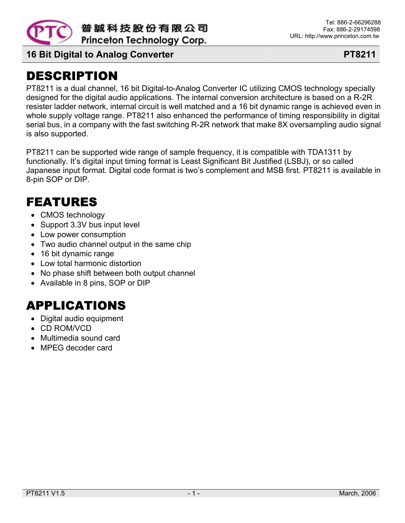

普誠科技股份有限公司 Princeton Technology Corp.

**16 Bit Digital to Analog Converter PT8211** 

# DESCRIPTION

PT8211 is a dual channel, 16 bit Digital-to-Analog Converter IC utilizing CMOS technology specially designed for the digital audio applications. The internal conversion architecture is based on a R-2R resister ladder network, internal circuit is well matched and a 16 bit dynamic range is achieved even in whole supply voltage range. PT8211 also enhanced the performance of timing responsibility in digital serial bus, in a company with the fast switching R-2R network that make 8X oversampling audio signal is also supported.

PT8211 can be supported wide range of sample frequency, it is compatible with TDA1311 by functionally. It's digital input timing format is Least Significant Bit Justified (LSBJ), or so called Japanese input format. Digital code format is two's complement and MSB first. PT8211 is available in 8-pin SOP or DIP.

## FEATURES

- CMOS technology
- Support 3.3V bus input level
- Low power consumption
- Two audio channel output in the same chip
- 16 bit dynamic range
- Low total harmonic distortion
- No phase shift between both output channel
- Available in 8 pins, SOP or DIP

# APPLICATIONS

- Digital audio equipment
- CD ROM/VCD
- Multimedia sound card
- MPEG decoder card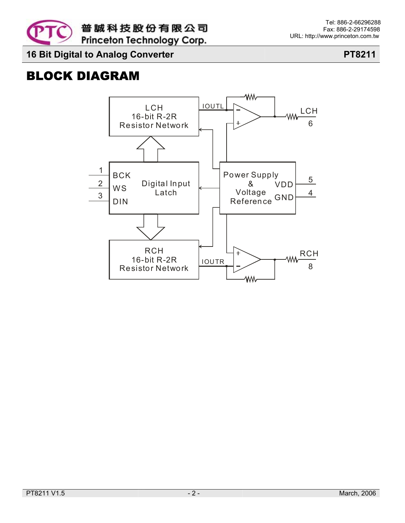

# BLOCK DIAGRAM

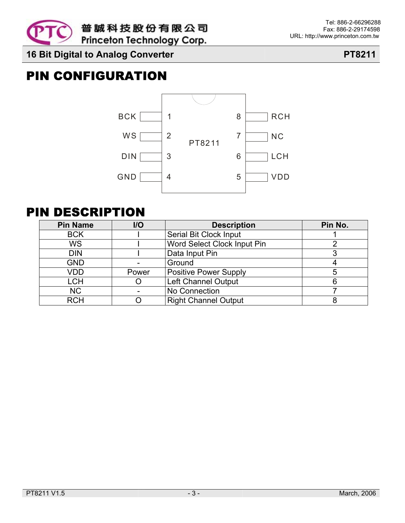

# PIN CONFIGURATION



## PIN DESCRIPTION

| <b>Pin Name</b> | $II$  | <b>Description</b>           | Pin No. |
|-----------------|-------|------------------------------|---------|
| <b>BCK</b>      |       | Serial Bit Clock Input       |         |
| WS              |       | Word Select Clock Input Pin  |         |
| <b>DIN</b>      |       | Data Input Pin               |         |
| <b>GND</b>      |       | Ground                       |         |
| VDD             | Power | <b>Positive Power Supply</b> |         |
| <b>LCH</b>      |       | Left Channel Output          |         |
| <b>NC</b>       |       | No Connection                |         |
| <b>RCH</b>      |       | <b>Right Channel Output</b>  |         |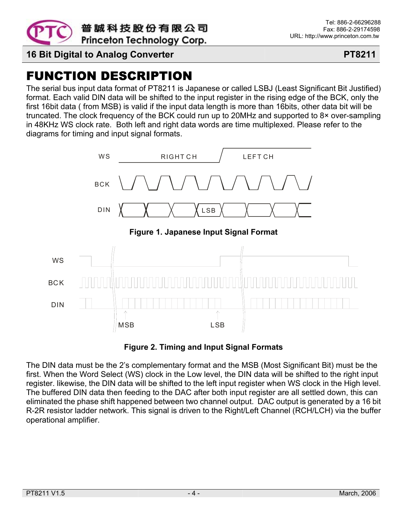

# FUNCTION DESCRIPTION

The serial bus input data format of PT8211 is Japanese or called LSBJ (Least Significant Bit Justified) format. Each valid DIN data will be shifted to the input register in the rising edge of the BCK, only the first 16bit data ( from MSB) is valid if the input data length is more than 16bits, other data bit will be truncated. The clock frequency of the BCK could run up to 20MHz and supported to 8× over-sampling in 48KHz WS clock rate. Both left and right data words are time multiplexed. Please refer to the diagrams for timing and input signal formats.



**Figure 2. Timing and Input Signal Formats** 

The DIN data must be the 2's complementary format and the MSB (Most Significant Bit) must be the first. When the Word Select (WS) clock in the Low level, the DIN data will be shifted to the right input register. likewise, the DIN data will be shifted to the left input register when WS clock in the High level. The buffered DIN data then feeding to the DAC after both input register are all settled down, this can eliminated the phase shift happened between two channel output. DAC output is generated by a 16 bit R-2R resistor ladder network. This signal is driven to the Right/Left Channel (RCH/LCH) via the buffer operational amplifier.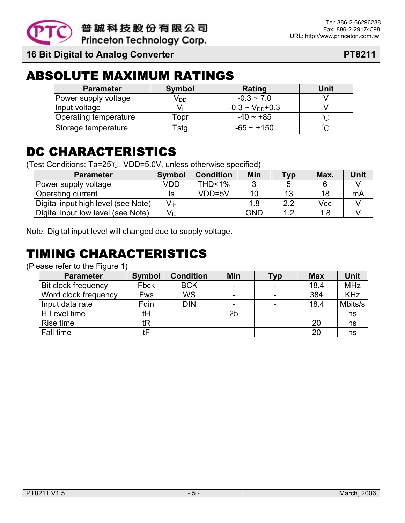

# ABSOLUTE MAXIMUM RATINGS

| <b>Parameter</b>      | <b>Symbol</b>   | Rating                   | Unit |
|-----------------------|-----------------|--------------------------|------|
| Power supply voltage  | √ <sub>DD</sub> | $-0.3 \sim 7.0$          |      |
| Input voltage         |                 | $-0.3 \sim V_{DD} + 0.3$ |      |
| Operating temperature | ⊺opr            | $-40 \sim +85$           |      |
| Storage temperature   | ัstg            | $-65 - +150$             |      |

# DC CHARACTERISTICS

(Test Conditions: Ta=25℃, VDD=5.0V, unless otherwise specified)

| <b>Parameter</b>                    | <b>Symbol</b>              | <b>Condition</b> | Min        | <b>Typ</b> | Max. | Unit |
|-------------------------------------|----------------------------|------------------|------------|------------|------|------|
| Power supply voltage                | VDD                        | $THD < 1\%$      | 2          | b          |      |      |
| <b>Operating current</b>            | IS                         | VDD=5V           | 10         | 13         | 18   | mA   |
| Digital input high level (see Note) | V <sub>IH</sub>            |                  |            | 2.2        | Vcc  |      |
| Digital input low level (see Note)  | $\mathsf{V}_{\mathsf{IL}}$ |                  | <b>GND</b> | 1.2        | 1.8  |      |

Note: Digital input level will changed due to supply voltage.

# TIMING CHARACTERISTICS

(Please refer to the Figure 1)

| <b>Parameter</b>           | <b>Symbol</b> | <b>Condition</b> | Min                      | Тур | <b>Max</b> | Unit       |
|----------------------------|---------------|------------------|--------------------------|-----|------------|------------|
| <b>Bit clock frequency</b> | Fbck          | <b>BCK</b>       | $\overline{\phantom{a}}$ |     | 18.4       | <b>MHz</b> |
| Word clock frequency       | Fws           | <b>WS</b>        | Ξ.                       |     | 384        | <b>KHz</b> |
| Input data rate            | Fdin          | <b>DIN</b>       | $\overline{\phantom{a}}$ |     | 18.4       | Mbits/s    |
| H Level time               | tH            |                  | 25                       |     |            | ns         |
| Rise time                  | tR            |                  |                          |     | 20         | ns         |
| Fall time                  | tF            |                  |                          |     | 20         | ns         |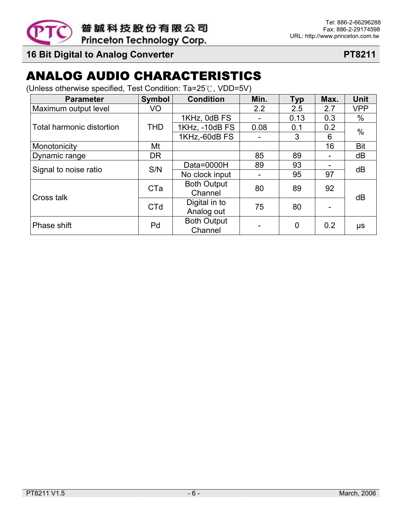

# ANALOG AUDIO CHARACTERISTICS

(Unless otherwise specified, Test Condition: Ta=25℃, VDD=5V)

| <b>Parameter</b>          | <b>Symbol</b> | <b>Condition</b>   | Min. | <b>Typ</b> | Max. | <b>Unit</b> |  |
|---------------------------|---------------|--------------------|------|------------|------|-------------|--|
| Maximum output level      | VO            |                    | 2.2  | 2.5        | 2.7  | <b>VPP</b>  |  |
|                           |               | 1KHz, 0dB FS       |      | 0.13       | 0.3  | %           |  |
| Total harmonic distortion | THD           | 1KHz, -10dB FS     | 0.08 | 0.1        | 0.2  | $\%$        |  |
|                           |               | 1KHz,-60dB FS      |      | 3          | 6    |             |  |
| Monotonicity              | Mt            |                    |      |            | 16   | <b>Bit</b>  |  |
| Dynamic range             | <b>DR</b>     |                    | 85   | 89         |      | dB          |  |
| Signal to noise ratio     | S/N           | Data=0000H         | 89   | 93         |      | dB          |  |
|                           |               | No clock input     |      | 95         | 97   |             |  |
|                           | <b>CTa</b>    | <b>Both Output</b> | 80   | 89         | 92   |             |  |
| Cross talk                |               | Channel            |      |            |      | dB          |  |
|                           | <b>CTd</b>    | Digital in to      | 75   | 80         |      |             |  |
|                           |               | Analog out         |      |            |      |             |  |
| Phase shift               | Pd            | <b>Both Output</b> |      | 0          | 0.2  | μs          |  |
|                           |               | Channel            |      |            |      |             |  |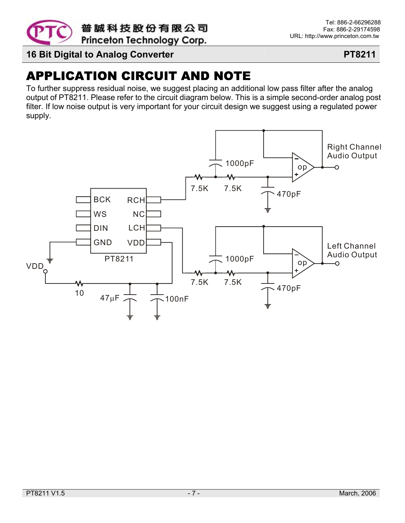

# APPLICATION CIRCUIT AND NOTE

To further suppress residual noise, we suggest placing an additional low pass filter after the analog output of PT8211. Please refer to the circuit diagram below. This is a simple second-order analog post filter. If low noise output is very important for your circuit design we suggest using a regulated power supply.

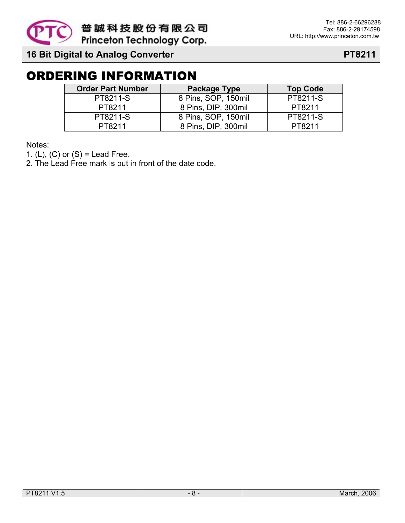

# ORDERING INFORMATION

| <b>Order Part Number</b> | Package Type        | <b>Top Code</b> |  |
|--------------------------|---------------------|-----------------|--|
| PT8211-S                 | 8 Pins, SOP, 150mil | PT8211-S        |  |
| PT8211                   | 8 Pins, DIP, 300mil | PT8211          |  |
| PT8211-S                 | 8 Pins, SOP, 150mil | PT8211-S        |  |
| PT8211                   | 8 Pins, DIP, 300mil | PT8211          |  |

Notes:

1.  $(L)$ ,  $(C)$  or  $(S)$  = Lead Free.

2. The Lead Free mark is put in front of the date code.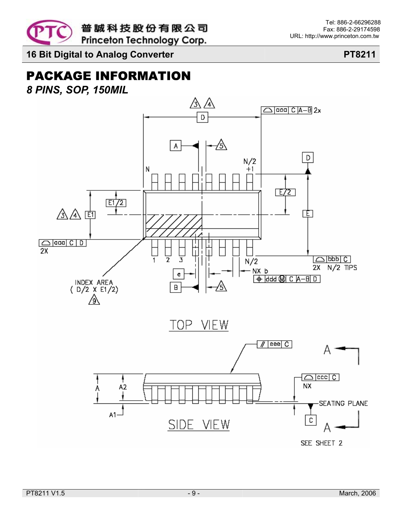

# PACKAGE INFORMATION

*8 PINS, SOP, 150MIL* 

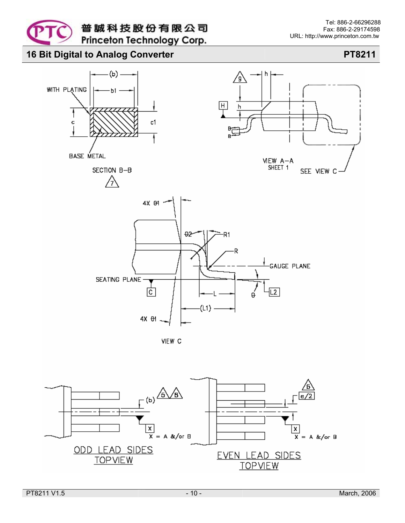



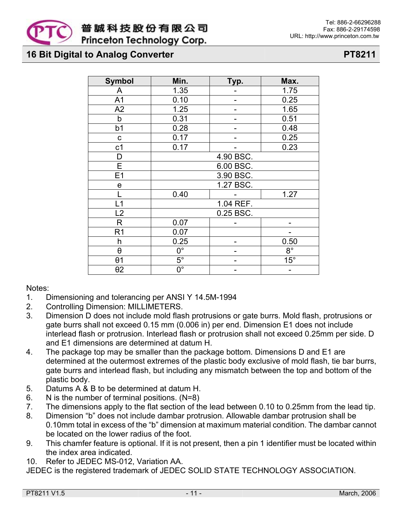

| <b>Symbol</b>         | Min.                   | Typ.      | Max.         |  |  |
|-----------------------|------------------------|-----------|--------------|--|--|
| Α                     | 1.35                   |           | 1.75         |  |  |
| A <sub>1</sub>        | 0.10                   |           | 0.25         |  |  |
| A2                    | 1.25                   |           | 1.65         |  |  |
| b                     | 0.31                   |           | 0.51         |  |  |
| b <sub>1</sub>        | 0.28                   |           | 0.48         |  |  |
| $\mathbf C$           | 0.17                   |           | 0.25         |  |  |
| c <sub>1</sub>        | 0.17                   |           | 0.23         |  |  |
| D                     |                        | 4.90 BSC. |              |  |  |
| E                     |                        | 6.00 BSC. |              |  |  |
| E1                    |                        | 3.90 BSC. |              |  |  |
| e                     | 1.27 BSC.              |           |              |  |  |
|                       | 1.27<br>0.40           |           |              |  |  |
| $\overline{L1}$       | 1.04 REF.              |           |              |  |  |
| L2                    |                        | 0.25 BSC. |              |  |  |
| $\mathsf R$           | 0.07                   |           |              |  |  |
| R <sub>1</sub>        | 0.07                   |           |              |  |  |
| h                     | 0.25<br>0.50           |           |              |  |  |
| $\boldsymbol{\theta}$ | $\overline{0^{\circ}}$ |           | $8^{\circ}$  |  |  |
| $\theta$ 1            | $5^\circ$              |           | $15^{\circ}$ |  |  |
| $\theta$ 2            | $\overline{0^{\circ}}$ |           |              |  |  |

Notes:

- 1. Dimensioning and tolerancing per ANSI Y 14.5M-1994
- 2. Controlling Dimension: MILLIMETERS.
- 3. Dimension D does not include mold flash protrusions or gate burrs. Mold flash, protrusions or gate burrs shall not exceed 0.15 mm (0.006 in) per end. Dimension E1 does not include interlead flash or protrusion. Interlead flash or protrusion shall not exceed 0.25mm per side. D and E1 dimensions are determined at datum H.
- 4. The package top may be smaller than the package bottom. Dimensions D and E1 are determined at the outermost extremes of the plastic body exclusive of mold flash, tie bar burrs, gate burrs and interlead flash, but including any mismatch between the top and bottom of the plastic body.
- 5. Datums A & B to be determined at datum H.
- 6. N is the number of terminal positions. (N=8)
- 7. The dimensions apply to the flat section of the lead between 0.10 to 0.25mm from the lead tip.
- 8. Dimension "b" does not include dambar protrusion. Allowable dambar protrusion shall be 0.10mm total in excess of the "b" dimension at maximum material condition. The dambar cannot be located on the lower radius of the foot.
- 9. This chamfer feature is optional. If it is not present, then a pin 1 identifier must be located within the index area indicated.
- 10. Refer to JEDEC MS-012, Variation AA.

JEDEC is the registered trademark of JEDEC SOLID STATE TECHNOLOGY ASSOCIATION.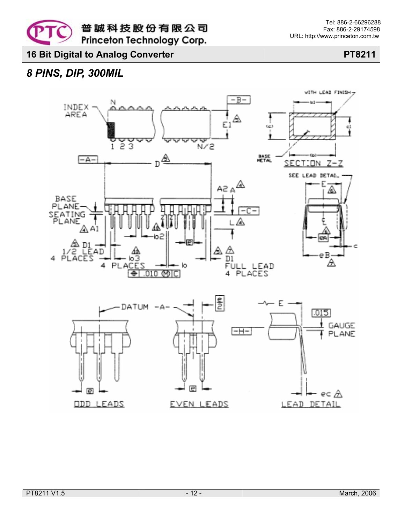### *8 PINS, DIP, 300MIL*